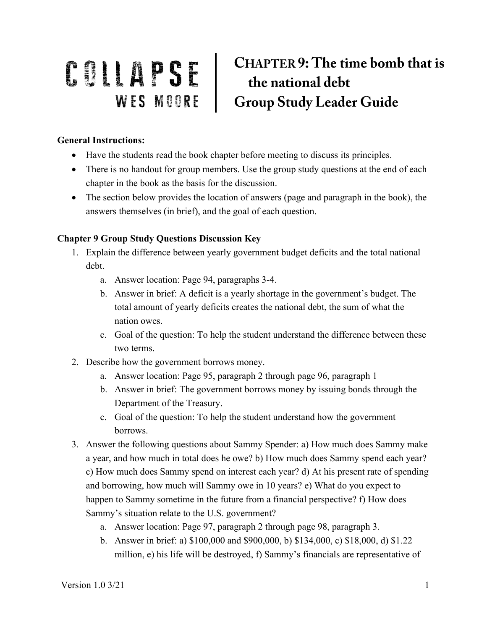## CHAPTER 9: The time bomb that is **COLLAPSE** CHAPTER 9: The time bomb<br>
WES MOORE Group Study Leader Guide

## **General Instructions:**

- Have the students read the book chapter before meeting to discuss its principles.
- There is no handout for group members. Use the group study questions at the end of each chapter in the book as the basis for the discussion.
- The section below provides the location of answers (page and paragraph in the book), the answers themselves (in brief), and the goal of each question.

## **Chapter 9 Group Study Questions Discussion Key**

- 1. Explain the difference between yearly government budget deficits and the total national debt.
	- a. Answer location: Page 94, paragraphs 3-4.
	- b. Answer in brief: A deficit is a yearly shortage in the government's budget. The total amount of yearly deficits creates the national debt, the sum of what the nation owes.
	- c. Goal of the question: To help the student understand the difference between these two terms.
- 2. Describe how the government borrows money.
	- a. Answer location: Page 95, paragraph 2 through page 96, paragraph 1
	- b. Answer in brief: The government borrows money by issuing bonds through the Department of the Treasury.
	- c. Goal of the question: To help the student understand how the government borrows.
- 3. Answer the following questions about Sammy Spender: a) How much does Sammy make a year, and how much in total does he owe? b) How much does Sammy spend each year? c) How much does Sammy spend on interest each year? d) At his present rate of spending and borrowing, how much will Sammy owe in 10 years? e) What do you expect to happen to Sammy sometime in the future from a financial perspective? f) How does Sammy's situation relate to the U.S. government?
	- a. Answer location: Page 97, paragraph 2 through page 98, paragraph 3.
	- b. Answer in brief: a) \$100,000 and \$900,000, b) \$134,000, c) \$18,000, d) \$1.22 million, e) his life will be destroyed, f) Sammy's financials are representative of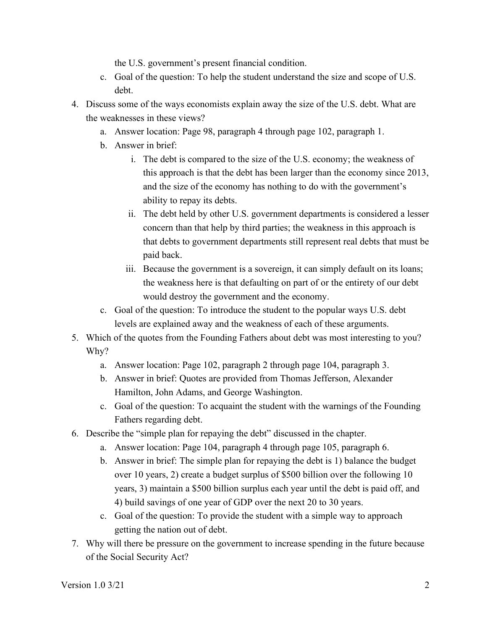the U.S. government's present financial condition.

- c. Goal of the question: To help the student understand the size and scope of U.S. debt.
- 4. Discuss some of the ways economists explain away the size of the U.S. debt. What are the weaknesses in these views?
	- a. Answer location: Page 98, paragraph 4 through page 102, paragraph 1.
	- b. Answer in brief:
		- i. The debt is compared to the size of the U.S. economy; the weakness of this approach is that the debt has been larger than the economy since 2013, and the size of the economy has nothing to do with the government's ability to repay its debts.
		- ii. The debt held by other U.S. government departments is considered a lesser concern than that help by third parties; the weakness in this approach is that debts to government departments still represent real debts that must be paid back.
		- iii. Because the government is a sovereign, it can simply default on its loans; the weakness here is that defaulting on part of or the entirety of our debt would destroy the government and the economy.
	- c. Goal of the question: To introduce the student to the popular ways U.S. debt levels are explained away and the weakness of each of these arguments.
- 5. Which of the quotes from the Founding Fathers about debt was most interesting to you? Why?
	- a. Answer location: Page 102, paragraph 2 through page 104, paragraph 3.
	- b. Answer in brief: Quotes are provided from Thomas Jefferson, Alexander Hamilton, John Adams, and George Washington.
	- c. Goal of the question: To acquaint the student with the warnings of the Founding Fathers regarding debt.
- 6. Describe the "simple plan for repaying the debt" discussed in the chapter.
	- a. Answer location: Page 104, paragraph 4 through page 105, paragraph 6.
	- b. Answer in brief: The simple plan for repaying the debt is 1) balance the budget over 10 years, 2) create a budget surplus of \$500 billion over the following 10 years, 3) maintain a \$500 billion surplus each year until the debt is paid off, and 4) build savings of one year of GDP over the next 20 to 30 years.
	- c. Goal of the question: To provide the student with a simple way to approach getting the nation out of debt.
- 7. Why will there be pressure on the government to increase spending in the future because of the Social Security Act?